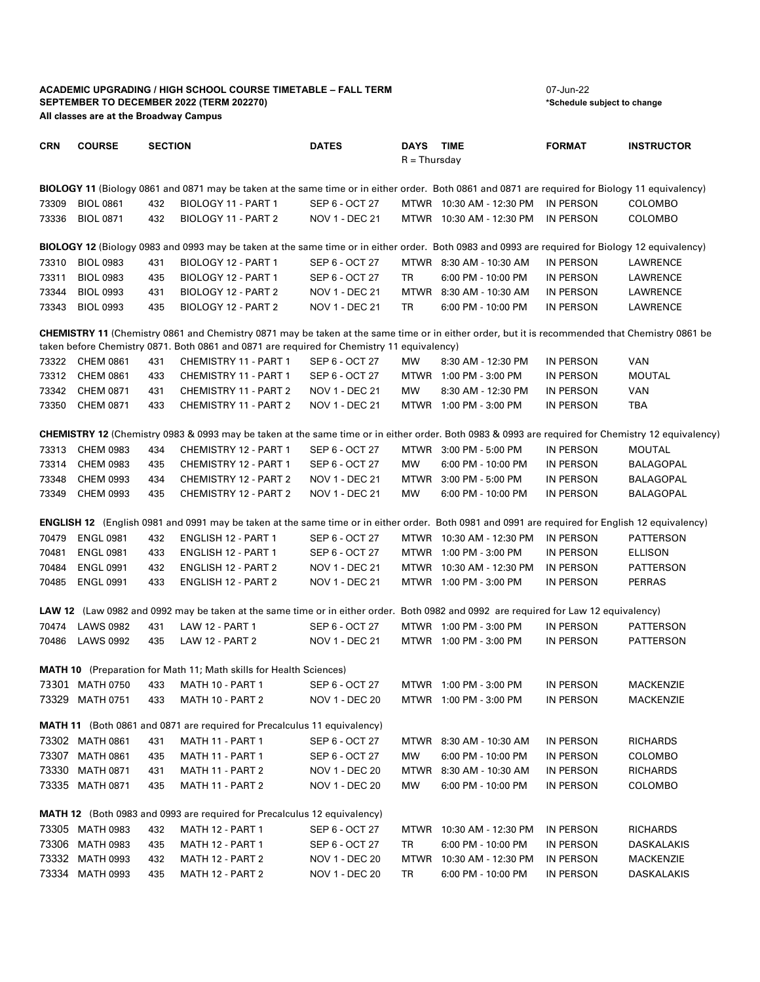## **ACADEMIC UPGRADING / HIGH SCHOOL COURSE TIMETABLE – FALL TERM** 07-Jun-22<br>
SEPTEMBER TO DECEMBER 2022 (TERM 202270) **SEPTEMBER TO DECEMBER 2022 (TERM 202270) All classes are at the Broadway Campus**

| <b>CRN</b>                                                                                                                                                                                                                                   | <b>COURSE</b>    | <b>SECTION</b> |                                                                                                                                                          | <b>DATES</b>          | DAYS TIME<br>$R = Thursday$ |                          | <b>FORMAT</b>    | <b>INSTRUCTOR</b> |  |  |  |
|----------------------------------------------------------------------------------------------------------------------------------------------------------------------------------------------------------------------------------------------|------------------|----------------|----------------------------------------------------------------------------------------------------------------------------------------------------------|-----------------------|-----------------------------|--------------------------|------------------|-------------------|--|--|--|
|                                                                                                                                                                                                                                              |                  |                |                                                                                                                                                          |                       |                             |                          |                  |                   |  |  |  |
| <b>BIOLOGY 11</b> (Biology 0861 and 0871 may be taken at the same time or in either order. Both 0861 and 0871 are required for Biology 11 equivalency)                                                                                       |                  |                |                                                                                                                                                          |                       |                             |                          |                  |                   |  |  |  |
| 73309                                                                                                                                                                                                                                        | <b>BIOL 0861</b> | 432            | BIOLOGY 11 - PART 1                                                                                                                                      | SEP 6 - OCT 27        |                             | MTWR 10:30 AM - 12:30 PM | IN PERSON        | <b>COLOMBO</b>    |  |  |  |
| 73336                                                                                                                                                                                                                                        | <b>BIOL 0871</b> | 432            | BIOLOGY 11 - PART 2                                                                                                                                      | NOV 1 - DEC 21        |                             | MTWR 10:30 AM - 12:30 PM | IN PERSON        | COLOMBO           |  |  |  |
| BIOLOGY 12 (Biology 0983 and 0993 may be taken at the same time or in either order. Both 0983 and 0993 are required for Biology 12 equivalency)                                                                                              |                  |                |                                                                                                                                                          |                       |                             |                          |                  |                   |  |  |  |
| 73310                                                                                                                                                                                                                                        | <b>BIOL 0983</b> | 431            | BIOLOGY 12 - PART 1                                                                                                                                      | SEP 6 - OCT 27        |                             | MTWR 8:30 AM - 10:30 AM  | IN PERSON        | LAWRENCE          |  |  |  |
| 73311                                                                                                                                                                                                                                        | <b>BIOL 0983</b> | 435            | BIOLOGY 12 - PART 1                                                                                                                                      | SEP 6 - OCT 27        | TR                          | 6:00 PM - 10:00 PM       | IN PERSON        | LAWRENCE          |  |  |  |
| 73344                                                                                                                                                                                                                                        | <b>BIOL 0993</b> | 431            | BIOLOGY 12 - PART 2                                                                                                                                      | NOV 1 - DEC 21        |                             | MTWR 8:30 AM - 10:30 AM  | IN PERSON        | LAWRENCE          |  |  |  |
| 73343                                                                                                                                                                                                                                        | <b>BIOL 0993</b> | 435            | BIOLOGY 12 - PART 2                                                                                                                                      | NOV 1 - DEC 21        | TR                          | 6:00 PM - 10:00 PM       | IN PERSON        | LAWRENCE          |  |  |  |
| CHEMISTRY 11 (Chemistry 0861 and Chemistry 0871 may be taken at the same time or in either order, but it is recommended that Chemistry 0861 be<br>taken before Chemistry 0871. Both 0861 and 0871 are required for Chemistry 11 equivalency) |                  |                |                                                                                                                                                          |                       |                             |                          |                  |                   |  |  |  |
|                                                                                                                                                                                                                                              | 73322 CHEM 0861  | 431            | CHEMISTRY 11 - PART 1                                                                                                                                    | SEP 6 - OCT 27        | MW                          | 8:30 AM - 12:30 PM       | IN PERSON        | VAN               |  |  |  |
|                                                                                                                                                                                                                                              | 73312 CHEM 0861  | 433            | CHEMISTRY 11 - PART 1                                                                                                                                    | SEP 6 - OCT 27        |                             | MTWR 1:00 PM - 3:00 PM   | IN PERSON        | <b>MOUTAL</b>     |  |  |  |
| 73342                                                                                                                                                                                                                                        | CHEM 0871        | 431            | CHEMISTRY 11 - PART 2                                                                                                                                    | NOV 1 - DEC 21        | <b>MW</b>                   | 8:30 AM - 12:30 PM       | IN PERSON        | <b>VAN</b>        |  |  |  |
| 73350                                                                                                                                                                                                                                        | CHEM 0871        | 433            | CHEMISTRY 11 - PART 2                                                                                                                                    | NOV 1 - DEC 21        |                             | MTWR 1:00 PM - 3:00 PM   | IN PERSON        | <b>TBA</b>        |  |  |  |
|                                                                                                                                                                                                                                              |                  |                |                                                                                                                                                          |                       |                             |                          |                  |                   |  |  |  |
|                                                                                                                                                                                                                                              |                  |                | <b>CHEMISTRY 12</b> (Chemistry 0983 & 0993 may be taken at the same time or in either order. Both 0983 & 0993 are required for Chemistry 12 equivalency) |                       |                             |                          |                  |                   |  |  |  |
| 73313                                                                                                                                                                                                                                        | <b>CHEM 0983</b> | 434            | CHEMISTRY 12 - PART 1                                                                                                                                    | SEP 6 - OCT 27        |                             | MTWR 3:00 PM - 5:00 PM   | IN PERSON        | <b>MOUTAL</b>     |  |  |  |
| 73314                                                                                                                                                                                                                                        | <b>CHEM 0983</b> | 435            | CHEMISTRY 12 - PART 1                                                                                                                                    | SEP 6 - OCT 27        | <b>MW</b>                   | 6:00 PM - 10:00 PM       | IN PERSON        | BALAGOPAL         |  |  |  |
| 73348                                                                                                                                                                                                                                        | <b>CHEM 0993</b> | 434            | CHEMISTRY 12 - PART 2                                                                                                                                    | NOV 1 - DEC 21        |                             | MTWR 3:00 PM - 5:00 PM   | IN PERSON        | BALAGOPAL         |  |  |  |
| 73349                                                                                                                                                                                                                                        | <b>CHEM 0993</b> | 435            | <b>CHEMISTRY 12 - PART 2</b>                                                                                                                             | NOV 1 - DEC 21        | MW                          | 6:00 PM - 10:00 PM       | IN PERSON        | BALAGOPAL         |  |  |  |
|                                                                                                                                                                                                                                              |                  |                | <b>ENGLISH 12</b> (English 0981 and 0991 may be taken at the same time or in either order. Both 0981 and 0991 are required for English 12 equivalency)   |                       |                             |                          |                  |                   |  |  |  |
| 70479                                                                                                                                                                                                                                        | <b>ENGL 0981</b> | 432            | ENGLISH 12 - PART 1                                                                                                                                      | SEP 6 - OCT 27        |                             | MTWR 10:30 AM - 12:30 PM | IN PERSON        | PATTERSON         |  |  |  |
| 70481                                                                                                                                                                                                                                        | <b>ENGL 0981</b> | 433            | ENGLISH 12 - PART 1                                                                                                                                      | SEP 6 - OCT 27        |                             | MTWR 1:00 PM - 3:00 PM   | IN PERSON        | <b>ELLISON</b>    |  |  |  |
| 70484                                                                                                                                                                                                                                        | <b>ENGL 0991</b> | 432            | ENGLISH 12 - PART 2                                                                                                                                      | NOV 1 - DEC 21        |                             | MTWR 10:30 AM - 12:30 PM | IN PERSON        | PATTERSON         |  |  |  |
| 70485                                                                                                                                                                                                                                        | <b>ENGL 0991</b> | 433            | ENGLISH 12 - PART 2                                                                                                                                      | NOV 1 - DEC 21        |                             | MTWR 1:00 PM - 3:00 PM   | IN PERSON        | <b>PERRAS</b>     |  |  |  |
|                                                                                                                                                                                                                                              |                  |                |                                                                                                                                                          |                       |                             |                          |                  |                   |  |  |  |
|                                                                                                                                                                                                                                              |                  |                | LAW 12 (Law 0982 and 0992 may be taken at the same time or in either order. Both 0982 and 0992 are required for Law 12 equivalency)                      |                       |                             |                          |                  |                   |  |  |  |
| 70474                                                                                                                                                                                                                                        | <b>LAWS 0982</b> | 431            | <b>LAW 12 - PART 1</b>                                                                                                                                   | SEP 6 - OCT 27        |                             | MTWR 1:00 PM - 3:00 PM   | <b>IN PERSON</b> | PATTERSON         |  |  |  |
| 70486                                                                                                                                                                                                                                        | <b>LAWS 0992</b> | 435            | <b>LAW 12 - PART 2</b>                                                                                                                                   | <b>NOV 1 - DEC 21</b> |                             | MTWR 1:00 PM - 3:00 PM   | IN PERSON        | PATTERSON         |  |  |  |
|                                                                                                                                                                                                                                              |                  |                | <b>MATH 10</b> (Preparation for Math 11; Math skills for Health Sciences)                                                                                |                       |                             |                          |                  |                   |  |  |  |
|                                                                                                                                                                                                                                              | 73301 MATH 0750  | 433            | <b>MATH 10 - PART 1</b>                                                                                                                                  | SEP 6 - OCT 27        |                             | MTWR 1:00 PM - 3:00 PM   | IN PERSON        | <b>MACKENZIE</b>  |  |  |  |
|                                                                                                                                                                                                                                              | 73329 MATH 0751  | 433            | MATH 10 - PART 2                                                                                                                                         | NOV 1 - DEC 20        |                             | MTWR 1:00 PM - 3:00 PM   | IN PERSON        | <b>MACKENZIE</b>  |  |  |  |
|                                                                                                                                                                                                                                              |                  |                |                                                                                                                                                          |                       |                             |                          |                  |                   |  |  |  |
| <b>MATH 11</b> (Both 0861 and 0871 are required for Precalculus 11 equivalency)                                                                                                                                                              |                  |                |                                                                                                                                                          |                       |                             |                          |                  |                   |  |  |  |
|                                                                                                                                                                                                                                              | 73302 MATH 0861  | 431            | MATH 11 - PART 1                                                                                                                                         | SEP 6 - OCT 27        |                             | MTWR 8:30 AM - 10:30 AM  | IN PERSON        | <b>RICHARDS</b>   |  |  |  |
|                                                                                                                                                                                                                                              | 73307 MATH 0861  | 435            | MATH 11 - PART 1                                                                                                                                         | SEP 6 - OCT 27        | MW                          | 6:00 PM - 10:00 PM       | IN PERSON        | COLOMBO           |  |  |  |
|                                                                                                                                                                                                                                              | 73330 MATH 0871  | 431            | MATH 11 - PART 2                                                                                                                                         | NOV 1 - DEC 20        |                             | MTWR 8:30 AM - 10:30 AM  | IN PERSON        | <b>RICHARDS</b>   |  |  |  |
|                                                                                                                                                                                                                                              | 73335 MATH 0871  | 435            | MATH 11 - PART 2                                                                                                                                         | NOV 1 - DEC 20        | МW                          | 6:00 PM - 10:00 PM       | IN PERSON        | COLOMBO           |  |  |  |
| <b>MATH 12</b> (Both 0983 and 0993 are required for Precalculus 12 equivalency)                                                                                                                                                              |                  |                |                                                                                                                                                          |                       |                             |                          |                  |                   |  |  |  |
|                                                                                                                                                                                                                                              | 73305 MATH 0983  | 432            | MATH 12 - PART 1                                                                                                                                         | SEP 6 - OCT 27        |                             | MTWR 10:30 AM - 12:30 PM | IN PERSON        | <b>RICHARDS</b>   |  |  |  |
|                                                                                                                                                                                                                                              | 73306 MATH 0983  | 435            | <b>MATH 12 - PART 1</b>                                                                                                                                  | SEP 6 - OCT 27        | TR                          | 6:00 PM - 10:00 PM       | IN PERSON        | DASKALAKIS        |  |  |  |
|                                                                                                                                                                                                                                              | 73332 MATH 0993  | 432            | MATH 12 - PART 2                                                                                                                                         | NOV 1 - DEC 20        |                             | MTWR 10:30 AM - 12:30 PM | IN PERSON        | <b>MACKENZIE</b>  |  |  |  |
|                                                                                                                                                                                                                                              | 73334 MATH 0993  | 435            | MATH 12 - PART 2                                                                                                                                         | NOV 1 - DEC 20        | TR                          | 6:00 PM - 10:00 PM       | IN PERSON        | DASKALAKIS        |  |  |  |